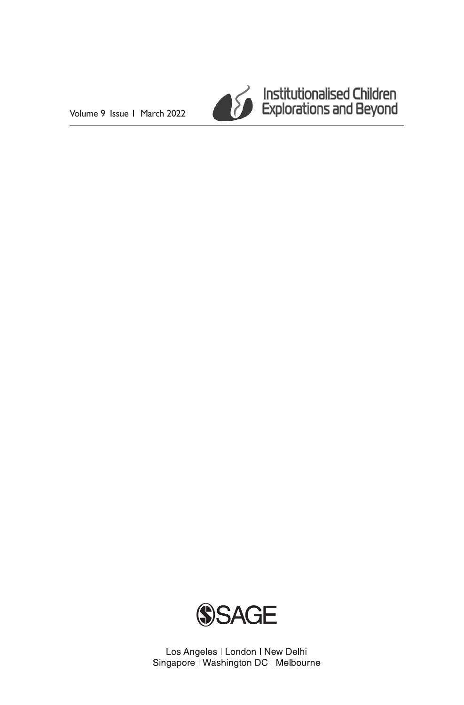Volume 9 Issue 1 March 2022



Institutionalised Children<br>Explorations and Beyond



Los Angeles | London | New Delhi Singapore | Washington DC | Melbourne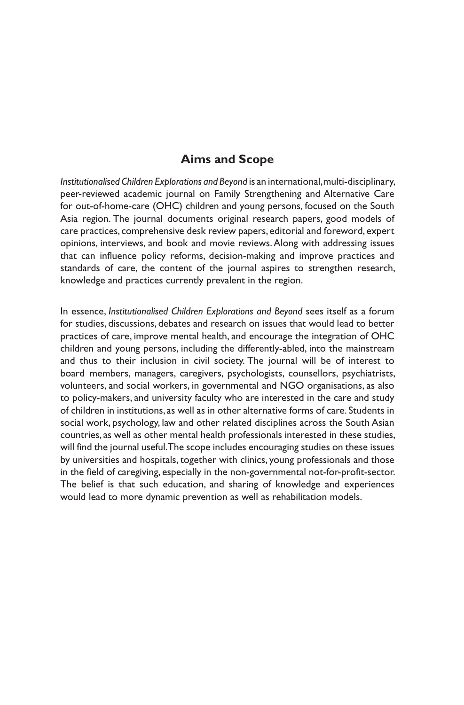### **Aims and Scope**

*Institutionalised Children Explorations and Beyond* is an international, multi-disciplinary, peer-reviewed academic journal on Family Strengthening and Alternative Care for out-of-home-care (OHC) children and young persons, focused on the South Asia region. The journal documents original research papers, good models of care practices, comprehensive desk review papers, editorial and foreword, expert opinions, interviews, and book and movie reviews. Along with addressing issues that can influence policy reforms, decision-making and improve practices and standards of care, the content of the journal aspires to strengthen research, knowledge and practices currently prevalent in the region.

In essence, *Institutionalised Children Explorations and Beyond* sees itself as a forum for studies, discussions, debates and research on issues that would lead to better practices of care, improve mental health, and encourage the integration of OHC children and young persons, including the differently-abled, into the mainstream and thus to their inclusion in civil society. The journal will be of interest to board members, managers, caregivers, psychologists, counsellors, psychiatrists, volunteers, and social workers, in governmental and NGO organisations, as also to policy-makers, and university faculty who are interested in the care and study of children in institutions, as well as in other alternative forms of care. Students in social work, psychology, law and other related disciplines across the South Asian countries, as well as other mental health professionals interested in these studies, will find the journal useful. The scope includes encouraging studies on these issues by universities and hospitals, together with clinics, young professionals and those in the field of caregiving, especially in the non-governmental not-for-profit-sector. The belief is that such education, and sharing of knowledge and experiences would lead to more dynamic prevention as well as rehabilitation models.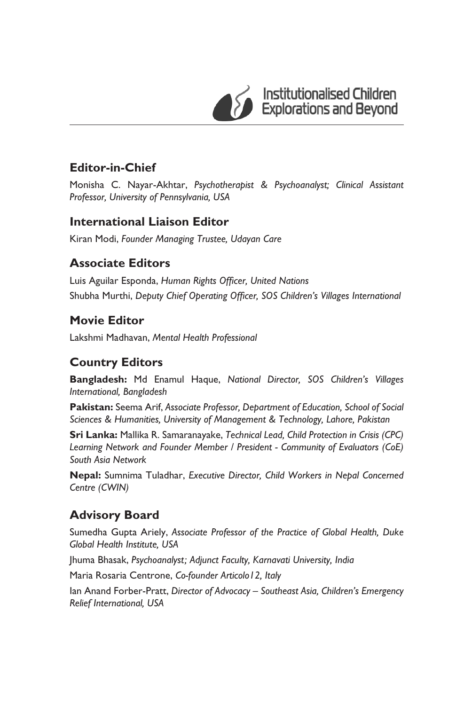

Institutionalised Children<br>Explorations and Beyond

## **Editor-in-Chief**

Monisha C. Nayar-Akhtar, *Psychotherapist & Psychoanalyst; Clinical Assistant Professor, University of Pennsylvania, USA*

### **International Liaison Editor**

Kiran Modi, *Founder Managing Trustee, Udayan Care*

# **Associate Editors**

Luis Aguilar Esponda, *Human Rights Officer, United Nations* Shubha Murthi, *Deputy Chief Operating Officer, SOS Children's Villages International*

### **Movie Editor**

Lakshmi Madhavan, *Mental Health Professional*

### **Country Editors**

**Bangladesh:** Md Enamul Haque, *National Director, SOS Children's Villages International, Bangladesh*

**Pakistan:** Seema Arif, *Associate Professor, Department of Education, School of Social Sciences & Humanities, University of Management & Technology, Lahore, Pakistan*

**Sri Lanka:** Mallika R. Samaranayake, *Technical Lead, Child Protection in Crisis (CPC) Learning Network and Founder Member / President - Community of Evaluators (CoE) South Asia Network*

**Nepal:** Sumnima Tuladhar, *Executive Director, Child Workers in Nepal Concerned Centre (CWIN)*

# **Advisory Board**

Sumedha Gupta Ariely, *Associate Professor of the Practice of Global Health, Duke Global Health Institute, USA* 

Jhuma Bhasak, Psychoanalyst; Adjunct Faculty, Karnavati University, India

Maria Rosaria Centrone, *Co-founder Articolo12, Italy* 

Ian Anand Forber-Pratt, *Director of Advocacy – Southeast Asia, Children's Emergency Relief International, USA*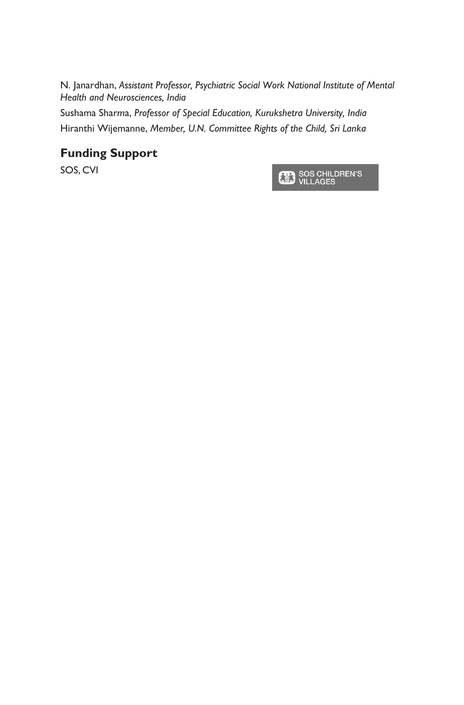N. Janardhan, *Assistant Professor, Psychiatric Social Work National Institute of Mental Health and Neurosciences, India*

Sushama Shar*m*a, *Professor of Special Education, Kurukshetra University, India* Hiranthi Wijemanne, *Member, U.N. Committee Rights of the Child, Sri Lanka*

### **Funding Support**

SOS, CVI

SOS CHILDREN'S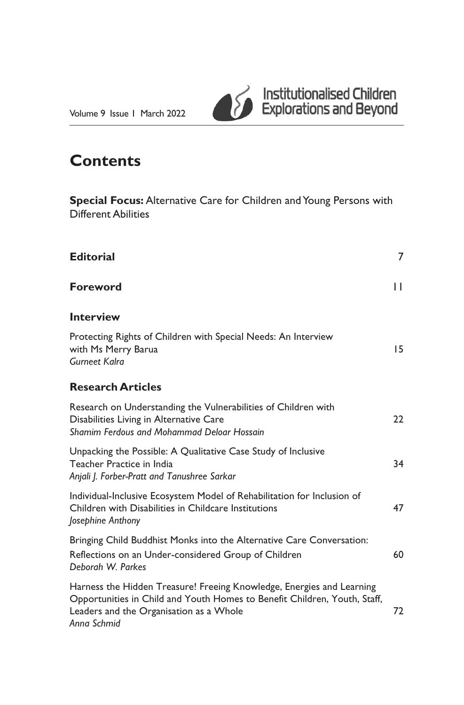

# **Contents**

**Special Focus:** Alternative Care for Children and Young Persons with Different Abilities

| <b>Editorial</b>                                                                                                                                                                                             | $\overline{7}$ |
|--------------------------------------------------------------------------------------------------------------------------------------------------------------------------------------------------------------|----------------|
| <b>Foreword</b>                                                                                                                                                                                              | П              |
| <b>Interview</b>                                                                                                                                                                                             |                |
| Protecting Rights of Children with Special Needs: An Interview<br>with Ms Merry Barua<br><b>Gurneet Kalra</b>                                                                                                | 15             |
| <b>Research Articles</b>                                                                                                                                                                                     |                |
| Research on Understanding the Vulnerabilities of Children with<br>Disabilities Living in Alternative Care<br>Shamim Ferdous and Mohammad Deloar Hossain                                                      | 22             |
| Unpacking the Possible: A Qualitative Case Study of Inclusive<br>Teacher Practice in India<br>Anjali J. Forber-Pratt and Tanushree Sarkar                                                                    | 34             |
| Individual-Inclusive Ecosystem Model of Rehabilitation for Inclusion of<br>Children with Disabilities in Childcare Institutions<br>Josephine Anthony                                                         |                |
| Bringing Child Buddhist Monks into the Alternative Care Conversation:<br>Reflections on an Under-considered Group of Children<br>Deborah W. Parkes                                                           | 60             |
| Harness the Hidden Treasure! Freeing Knowledge, Energies and Learning<br>Opportunities in Child and Youth Homes to Benefit Children, Youth, Staff,<br>Leaders and the Organisation as a Whole<br>Anna Schmid | 72             |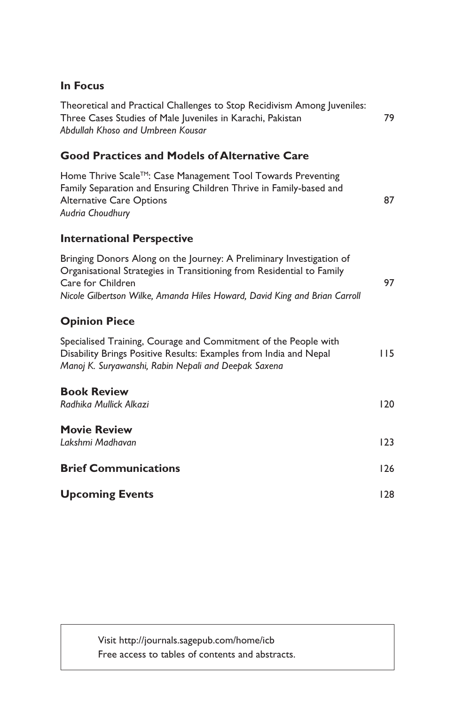#### **In Focus**

Theoretical and Practical Challenges to Stop Recidivism Among Juveniles: Three Cases Studies of Male Juveniles in Karachi, Pakistan 79 *Abdullah Khoso and Umbreen Kousar*

#### **Good Practices and Models of Alternative Care**

Home Thrive Scale<sup>™</sup>: Case Management Tool Towards Preventing Family Separation and Ensuring Children Thrive in Family-based and Alternative Care Options 87 *Audria Choudhury*

#### **International Perspective**

| Bringing Donors Along on the Journey: A Preliminary Investigation of       |  |
|----------------------------------------------------------------------------|--|
| Organisational Strategies in Transitioning from Residential to Family      |  |
| Care for Children                                                          |  |
| Nicole Gilbertson Wilke, Amanda Hiles Howard, David King and Brian Carroll |  |

#### **Opinion Piece**

| Specialised Training, Courage and Commitment of the People with   |     |
|-------------------------------------------------------------------|-----|
| Disability Brings Positive Results: Examples from India and Nepal | 115 |
| Manoj K. Suryawanshi, Rabin Nepali and Deepak Saxena              |     |

| <b>Book Review</b>          |     |
|-----------------------------|-----|
| Radhika Mullick Alkazi      | 120 |
| <b>Movie Review</b>         |     |
|                             |     |
| Lakshmi Madhavan            | 123 |
|                             |     |
| <b>Brief Communications</b> | 126 |
|                             |     |
| <b>Upcoming Events</b>      | 128 |

Visit http://journals.sagepub.com/home/icb Free access to tables of contents and abstracts.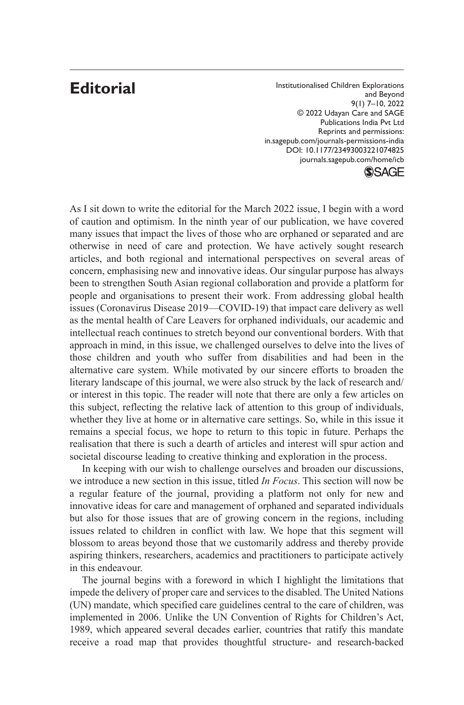# **Editorial**

Institutionalised Children Explorations and Beyond 9(1) 7–10, 2022 © 2022 Udayan Care and SAGE Publications India Pvt Ltd Reprints and permissions: in.sagepub.com/journals-permissions-india DOI: 10.1177/23493003221074825 journals.sagepub.com/home/icb **SSAGE** 

As I sit down to write the editorial for the March 2022 issue, I begin with a word of caution and optimism. In the ninth year of our publication, we have covered many issues that impact the lives of those who are orphaned or separated and are otherwise in need of care and protection. We have actively sought research articles, and both regional and international perspectives on several areas of concern, emphasising new and innovative ideas. Our singular purpose has always been to strengthen South Asian regional collaboration and provide a platform for people and organisations to present their work. From addressing global health issues (Coronavirus Disease 2019—COVID-19) that impact care delivery as well as the mental health of Care Leavers for orphaned individuals, our academic and intellectual reach continues to stretch beyond our conventional borders. With that approach in mind, in this issue, we challenged ourselves to delve into the lives of those children and youth who suffer from disabilities and had been in the alternative care system. While motivated by our sincere efforts to broaden the literary landscape of this journal, we were also struck by the lack of research and/ or interest in this topic. The reader will note that there are only a few articles on this subject, reflecting the relative lack of attention to this group of individuals, whether they live at home or in alternative care settings. So, while in this issue it remains a special focus, we hope to return to this topic in future. Perhaps the realisation that there is such a dearth of articles and interest will spur action and societal discourse leading to creative thinking and exploration in the process.

In keeping with our wish to challenge ourselves and broaden our discussions, we introduce a new section in this issue, titled *In Focus*. This section will now be a regular feature of the journal, providing a platform not only for new and innovative ideas for care and management of orphaned and separated individuals but also for those issues that are of growing concern in the regions, including issues related to children in conflict with law. We hope that this segment will blossom to areas beyond those that we customarily address and thereby provide aspiring thinkers, researchers, academics and practitioners to participate actively in this endeavour.

The journal begins with a foreword in which I highlight the limitations that impede the delivery of proper care and services to the disabled. The United Nations (UN) mandate, which specified care guidelines central to the care of children, was implemented in 2006. Unlike the UN Convention of Rights for Children's Act, 1989, which appeared several decades earlier, countries that ratify this mandate receive a road map that provides thoughtful structure- and research-backed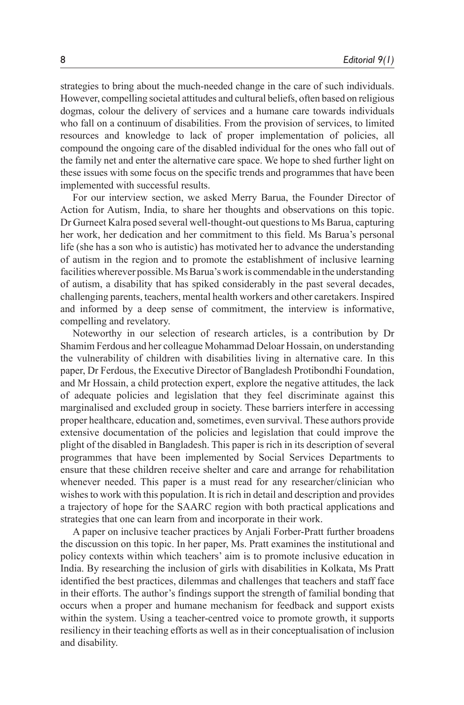strategies to bring about the much-needed change in the care of such individuals. However, compelling societal attitudes and cultural beliefs, often based on religious dogmas, colour the delivery of services and a humane care towards individuals who fall on a continuum of disabilities. From the provision of services, to limited resources and knowledge to lack of proper implementation of policies, all compound the ongoing care of the disabled individual for the ones who fall out of the family net and enter the alternative care space. We hope to shed further light on these issues with some focus on the specific trends and programmes that have been implemented with successful results.

For our interview section, we asked Merry Barua, the Founder Director of Action for Autism, India, to share her thoughts and observations on this topic. Dr Gurneet Kalra posed several well-thought-out questions to Ms Barua, capturing her work, her dedication and her commitment to this field. Ms Barua's personal life (she has a son who is autistic) has motivated her to advance the understanding of autism in the region and to promote the establishment of inclusive learning facilities wherever possible. Ms Barua's work is commendable in the understanding of autism, a disability that has spiked considerably in the past several decades, challenging parents, teachers, mental health workers and other caretakers. Inspired and informed by a deep sense of commitment, the interview is informative, compelling and revelatory.

Noteworthy in our selection of research articles, is a contribution by Dr Shamim Ferdous and her colleague Mohammad Deloar Hossain, on understanding the vulnerability of children with disabilities living in alternative care. In this paper, Dr Ferdous, the Executive Director of Bangladesh Protibondhi Foundation, and Mr Hossain, a child protection expert, explore the negative attitudes, the lack of adequate policies and legislation that they feel discriminate against this marginalised and excluded group in society. These barriers interfere in accessing proper healthcare, education and, sometimes, even survival. These authors provide extensive documentation of the policies and legislation that could improve the plight of the disabled in Bangladesh. This paper is rich in its description of several programmes that have been implemented by Social Services Departments to ensure that these children receive shelter and care and arrange for rehabilitation whenever needed. This paper is a must read for any researcher/clinician who wishes to work with this population. It is rich in detail and description and provides a trajectory of hope for the SAARC region with both practical applications and strategies that one can learn from and incorporate in their work.

A paper on inclusive teacher practices by Anjali Forber-Pratt further broadens the discussion on this topic. In her paper, Ms. Pratt examines the institutional and policy contexts within which teachers' aim is to promote inclusive education in India. By researching the inclusion of girls with disabilities in Kolkata, Ms Pratt identified the best practices, dilemmas and challenges that teachers and staff face in their efforts. The author's findings support the strength of familial bonding that occurs when a proper and humane mechanism for feedback and support exists within the system. Using a teacher-centred voice to promote growth, it supports resiliency in their teaching efforts as well as in their conceptualisation of inclusion and disability.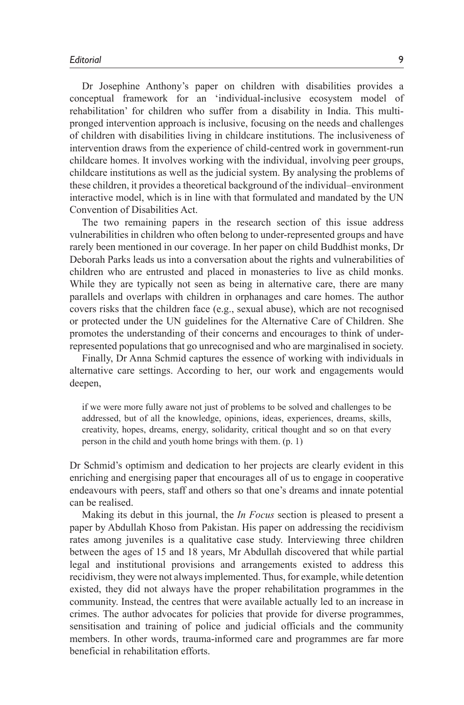Dr Josephine Anthony's paper on children with disabilities provides a conceptual framework for an 'individual-inclusive ecosystem model of rehabilitation' for children who suffer from a disability in India. This multipronged intervention approach is inclusive, focusing on the needs and challenges of children with disabilities living in childcare institutions. The inclusiveness of intervention draws from the experience of child-centred work in government-run childcare homes. It involves working with the individual, involving peer groups, childcare institutions as well as the judicial system. By analysing the problems of these children, it provides a theoretical background of the individual–environment interactive model, which is in line with that formulated and mandated by the UN Convention of Disabilities Act.

The two remaining papers in the research section of this issue address vulnerabilities in children who often belong to under-represented groups and have rarely been mentioned in our coverage. In her paper on child Buddhist monks, Dr Deborah Parks leads us into a conversation about the rights and vulnerabilities of children who are entrusted and placed in monasteries to live as child monks. While they are typically not seen as being in alternative care, there are many parallels and overlaps with children in orphanages and care homes. The author covers risks that the children face (e.g., sexual abuse), which are not recognised or protected under the UN guidelines for the Alternative Care of Children. She promotes the understanding of their concerns and encourages to think of underrepresented populations that go unrecognised and who are marginalised in society.

Finally, Dr Anna Schmid captures the essence of working with individuals in alternative care settings. According to her, our work and engagements would deepen,

if we were more fully aware not just of problems to be solved and challenges to be addressed, but of all the knowledge, opinions, ideas, experiences, dreams, skills, creativity, hopes, dreams, energy, solidarity, critical thought and so on that every person in the child and youth home brings with them. (p. 1)

Dr Schmid's optimism and dedication to her projects are clearly evident in this enriching and energising paper that encourages all of us to engage in cooperative endeavours with peers, staff and others so that one's dreams and innate potential can be realised.

Making its debut in this journal, the *In Focus* section is pleased to present a paper by Abdullah Khoso from Pakistan. His paper on addressing the recidivism rates among juveniles is a qualitative case study. Interviewing three children between the ages of 15 and 18 years, Mr Abdullah discovered that while partial legal and institutional provisions and arrangements existed to address this recidivism, they were not always implemented. Thus, for example, while detention existed, they did not always have the proper rehabilitation programmes in the community. Instead, the centres that were available actually led to an increase in crimes. The author advocates for policies that provide for diverse programmes, sensitisation and training of police and judicial officials and the community members. In other words, trauma-informed care and programmes are far more beneficial in rehabilitation efforts.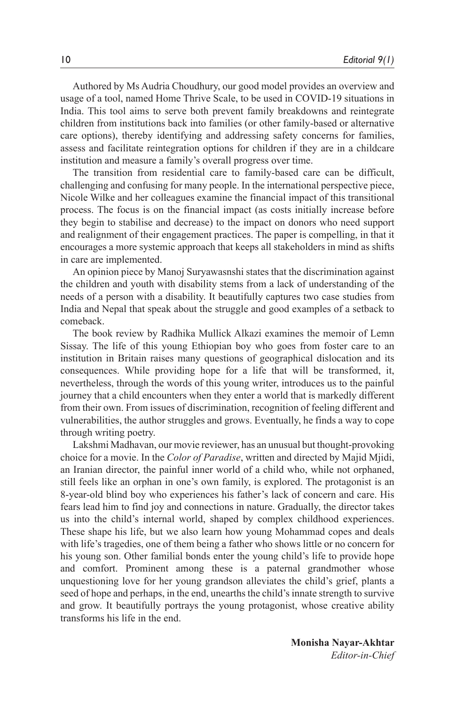Authored by Ms Audria Choudhury, our good model provides an overview and usage of a tool, named Home Thrive Scale, to be used in COVID-19 situations in India. This tool aims to serve both prevent family breakdowns and reintegrate children from institutions back into families (or other family-based or alternative care options), thereby identifying and addressing safety concerns for families, assess and facilitate reintegration options for children if they are in a childcare institution and measure a family's overall progress over time.

The transition from residential care to family-based care can be difficult, challenging and confusing for many people. In the international perspective piece, Nicole Wilke and her colleagues examine the financial impact of this transitional process. The focus is on the financial impact (as costs initially increase before they begin to stabilise and decrease) to the impact on donors who need support and realignment of their engagement practices. The paper is compelling, in that it encourages a more systemic approach that keeps all stakeholders in mind as shifts in care are implemented.

An opinion piece by Manoj Suryawasnshi states that the discrimination against the children and youth with disability stems from a lack of understanding of the needs of a person with a disability. It beautifully captures two case studies from India and Nepal that speak about the struggle and good examples of a setback to comeback.

The book review by Radhika Mullick Alkazi examines the memoir of Lemn Sissay. The life of this young Ethiopian boy who goes from foster care to an institution in Britain raises many questions of geographical dislocation and its consequences. While providing hope for a life that will be transformed, it, nevertheless, through the words of this young writer, introduces us to the painful journey that a child encounters when they enter a world that is markedly different from their own. From issues of discrimination, recognition of feeling different and vulnerabilities, the author struggles and grows. Eventually, he finds a way to cope through writing poetry.

Lakshmi Madhavan, our movie reviewer, has an unusual but thought-provoking choice for a movie. In the *Color of Paradise*, written and directed by Majid Mjidi, an Iranian director, the painful inner world of a child who, while not orphaned, still feels like an orphan in one's own family, is explored. The protagonist is an 8-year-old blind boy who experiences his father's lack of concern and care. His fears lead him to find joy and connections in nature. Gradually, the director takes us into the child's internal world, shaped by complex childhood experiences. These shape his life, but we also learn how young Mohammad copes and deals with life's tragedies, one of them being a father who shows little or no concern for his young son. Other familial bonds enter the young child's life to provide hope and comfort. Prominent among these is a paternal grandmother whose unquestioning love for her young grandson alleviates the child's grief, plants a seed of hope and perhaps, in the end, unearths the child's innate strength to survive and grow. It beautifully portrays the young protagonist, whose creative ability transforms his life in the end.

**Monisha Nayar-Akhtar** *Editor-in-Chief*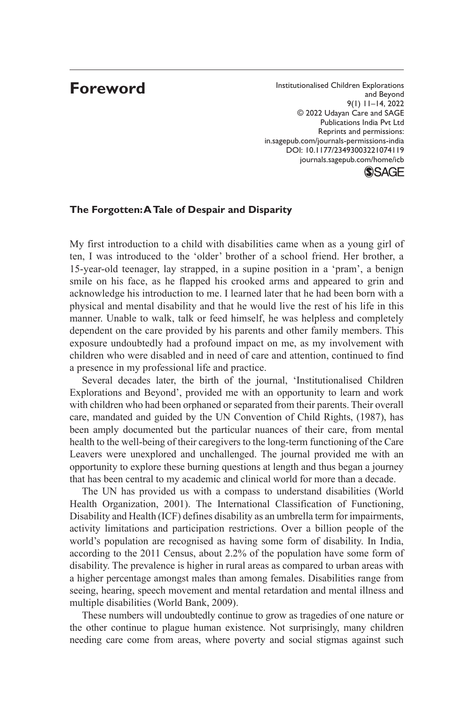# **Foreword**

Reprints and permissions: Institutionalised Children Explorations and Beyond 9(1) 11–14, 2022 © 2022 Udayan Care and SAGE Publications India Pvt Ltd in.sagepub.com/journals-permissions-india DOI: 10.1177/23493003221074119 journals.sagepub.com/home/icb

#### **SSAGE**

#### **The Forgotten: A Tale of Despair and Disparity**

My first introduction to a child with disabilities came when as a young girl of ten, I was introduced to the 'older' brother of a school friend. Her brother, a 15-year-old teenager, lay strapped, in a supine position in a 'pram', a benign smile on his face, as he flapped his crooked arms and appeared to grin and acknowledge his introduction to me. I learned later that he had been born with a physical and mental disability and that he would live the rest of his life in this manner. Unable to walk, talk or feed himself, he was helpless and completely dependent on the care provided by his parents and other family members. This exposure undoubtedly had a profound impact on me, as my involvement with children who were disabled and in need of care and attention, continued to find a presence in my professional life and practice.

Several decades later, the birth of the journal, 'Institutionalised Children Explorations and Beyond', provided me with an opportunity to learn and work with children who had been orphaned or separated from their parents. Their overall care, mandated and guided by the UN Convention of Child Rights, (1987), has been amply documented but the particular nuances of their care, from mental health to the well-being of their caregivers to the long-term functioning of the Care Leavers were unexplored and unchallenged. The journal provided me with an opportunity to explore these burning questions at length and thus began a journey that has been central to my academic and clinical world for more than a decade.

The UN has provided us with a compass to understand disabilities (World Health Organization, 2001). The International Classification of Functioning, Disability and Health (ICF) defines disability as an umbrella term for impairments, activity limitations and participation restrictions. Over a billion people of the world's population are recognised as having some form of disability. In India, according to the 2011 Census, about 2.2% of the population have some form of disability. The prevalence is higher in rural areas as compared to urban areas with a higher percentage amongst males than among females. Disabilities range from seeing, hearing, speech movement and mental retardation and mental illness and multiple disabilities (World Bank, 2009).

These numbers will undoubtedly continue to grow as tragedies of one nature or the other continue to plague human existence. Not surprisingly, many children needing care come from areas, where poverty and social stigmas against such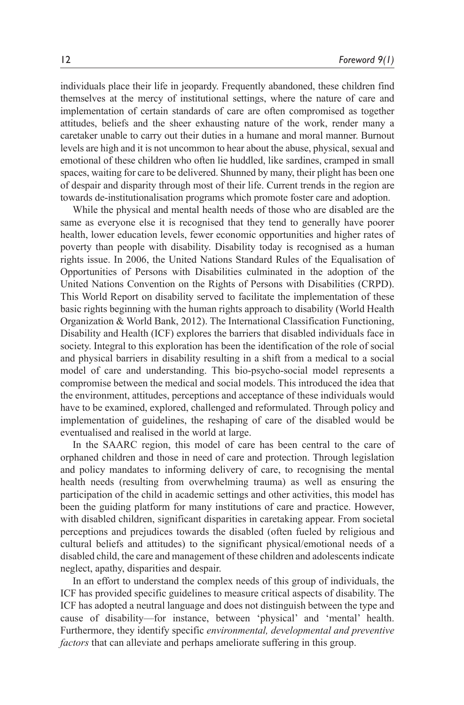individuals place their life in jeopardy. Frequently abandoned, these children find themselves at the mercy of institutional settings, where the nature of care and implementation of certain standards of care are often compromised as together attitudes, beliefs and the sheer exhausting nature of the work, render many a caretaker unable to carry out their duties in a humane and moral manner. Burnout levels are high and it is not uncommon to hear about the abuse, physical, sexual and emotional of these children who often lie huddled, like sardines, cramped in small spaces, waiting for care to be delivered. Shunned by many, their plight has been one of despair and disparity through most of their life. Current trends in the region are towards de-institutionalisation programs which promote foster care and adoption.

While the physical and mental health needs of those who are disabled are the same as everyone else it is recognised that they tend to generally have poorer health, lower education levels, fewer economic opportunities and higher rates of poverty than people with disability. Disability today is recognised as a human rights issue. In 2006, the United Nations Standard Rules of the Equalisation of Opportunities of Persons with Disabilities culminated in the adoption of the United Nations Convention on the Rights of Persons with Disabilities (CRPD). This World Report on disability served to facilitate the implementation of these basic rights beginning with the human rights approach to disability (World Health Organization & World Bank, 2012). The International Classification Functioning, Disability and Health (ICF) explores the barriers that disabled individuals face in society. Integral to this exploration has been the identification of the role of social and physical barriers in disability resulting in a shift from a medical to a social model of care and understanding. This bio-psycho-social model represents a compromise between the medical and social models. This introduced the idea that the environment, attitudes, perceptions and acceptance of these individuals would have to be examined, explored, challenged and reformulated. Through policy and implementation of guidelines, the reshaping of care of the disabled would be eventualised and realised in the world at large.

In the SAARC region, this model of care has been central to the care of orphaned children and those in need of care and protection. Through legislation and policy mandates to informing delivery of care, to recognising the mental health needs (resulting from overwhelming trauma) as well as ensuring the participation of the child in academic settings and other activities, this model has been the guiding platform for many institutions of care and practice. However, with disabled children, significant disparities in caretaking appear. From societal perceptions and prejudices towards the disabled (often fueled by religious and cultural beliefs and attitudes) to the significant physical/emotional needs of a disabled child, the care and management of these children and adolescents indicate neglect, apathy, disparities and despair.

In an effort to understand the complex needs of this group of individuals, the ICF has provided specific guidelines to measure critical aspects of disability. The ICF has adopted a neutral language and does not distinguish between the type and cause of disability—for instance, between 'physical' and 'mental' health. Furthermore, they identify specific *environmental, developmental and preventive factors* that can alleviate and perhaps ameliorate suffering in this group.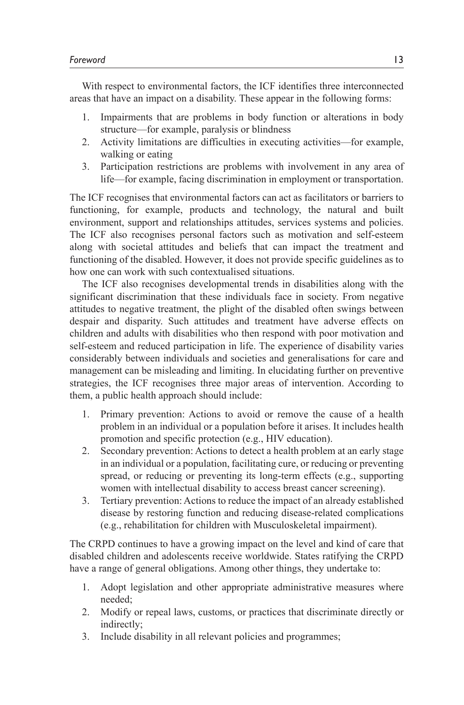With respect to environmental factors, the ICF identifies three interconnected areas that have an impact on a disability. These appear in the following forms:

- 1. Impairments that are problems in body function or alterations in body structure—for example, paralysis or blindness
- 2. Activity limitations are difficulties in executing activities—for example, walking or eating
- 3. Participation restrictions are problems with involvement in any area of life—for example, facing discrimination in employment or transportation.

The ICF recognises that environmental factors can act as facilitators or barriers to functioning, for example, products and technology, the natural and built environment, support and relationships attitudes, services systems and policies. The ICF also recognises personal factors such as motivation and self-esteem along with societal attitudes and beliefs that can impact the treatment and functioning of the disabled. However, it does not provide specific guidelines as to how one can work with such contextualised situations.

The ICF also recognises developmental trends in disabilities along with the significant discrimination that these individuals face in society. From negative attitudes to negative treatment, the plight of the disabled often swings between despair and disparity. Such attitudes and treatment have adverse effects on children and adults with disabilities who then respond with poor motivation and self-esteem and reduced participation in life. The experience of disability varies considerably between individuals and societies and generalisations for care and management can be misleading and limiting. In elucidating further on preventive strategies, the ICF recognises three major areas of intervention. According to them, a public health approach should include:

- 1. Primary prevention: Actions to avoid or remove the cause of a health problem in an individual or a population before it arises. It includes health promotion and specific protection (e.g., HIV education).
- 2. Secondary prevention: Actions to detect a health problem at an early stage in an individual or a population, facilitating cure, or reducing or preventing spread, or reducing or preventing its long-term effects (e.g., supporting women with intellectual disability to access breast cancer screening).
- 3. Tertiary prevention: Actions to reduce the impact of an already established disease by restoring function and reducing disease-related complications (e.g., rehabilitation for children with Musculoskeletal impairment).

The CRPD continues to have a growing impact on the level and kind of care that disabled children and adolescents receive worldwide. States ratifying the CRPD have a range of general obligations. Among other things, they undertake to:

- 1. Adopt legislation and other appropriate administrative measures where needed;
- 2. Modify or repeal laws, customs, or practices that discriminate directly or indirectly;
- 3. Include disability in all relevant policies and programmes;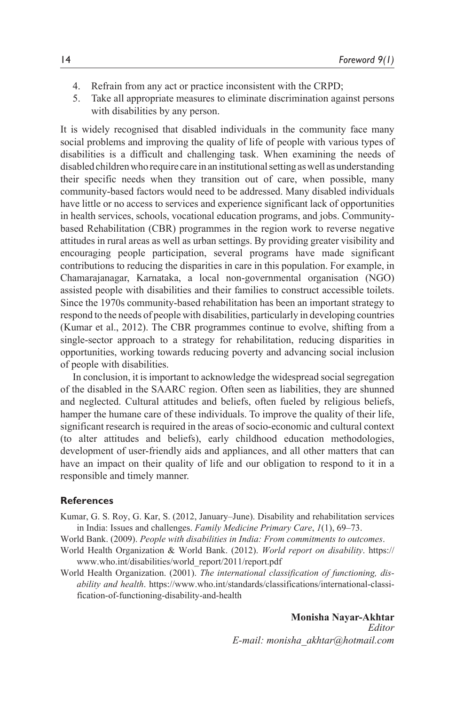- 4. Refrain from any act or practice inconsistent with the CRPD;
- 5. Take all appropriate measures to eliminate discrimination against persons with disabilities by any person.

It is widely recognised that disabled individuals in the community face many social problems and improving the quality of life of people with various types of disabilities is a difficult and challenging task. When examining the needs of disabled children who require care in an institutional setting as well as understanding their specific needs when they transition out of care, when possible, many community-based factors would need to be addressed. Many disabled individuals have little or no access to services and experience significant lack of opportunities in health services, schools, vocational education programs, and jobs. Communitybased Rehabilitation (CBR) programmes in the region work to reverse negative attitudes in rural areas as well as urban settings. By providing greater visibility and encouraging people participation, several programs have made significant contributions to reducing the disparities in care in this population. For example, in Chamarajanagar, Karnataka, a local non-governmental organisation (NGO) assisted people with disabilities and their families to construct accessible toilets. Since the 1970s community-based rehabilitation has been an important strategy to respond to the needs of people with disabilities, particularly in developing countries (Kumar et al., 2012). The CBR programmes continue to evolve, shifting from a single-sector approach to a strategy for rehabilitation, reducing disparities in opportunities, working towards reducing poverty and advancing social inclusion of people with disabilities.

In conclusion, it is important to acknowledge the widespread social segregation of the disabled in the SAARC region. Often seen as liabilities, they are shunned and neglected. Cultural attitudes and beliefs, often fueled by religious beliefs, hamper the humane care of these individuals. To improve the quality of their life, significant research is required in the areas of socio-economic and cultural context (to alter attitudes and beliefs), early childhood education methodologies, development of user-friendly aids and appliances, and all other matters that can have an impact on their quality of life and our obligation to respond to it in a responsible and timely manner.

#### **References**

- Kumar, G. S. Roy, G. Kar, S. (2012, January–June). Disability and rehabilitation services in India: Issues and challenges. *Family Medicine Primary Care*, *1*(1), 69–73.
- World Bank. (2009). *People with disabilities in India: From commitments to outcomes*.
- World Health Organization & World Bank. (2012). *World report on disability*. https:// www.who.int/disabilities/world\_report/2011/report.pdf
- World Health Organization. (2001). *The international classification of functioning, disability and health*. https://www.who.int/standards/classifications/international-classification-of-functioning-disability-and-health

*Editor E-mail: monisha\_akhtar@hotmail.com* **Monisha Nayar-Akhtar**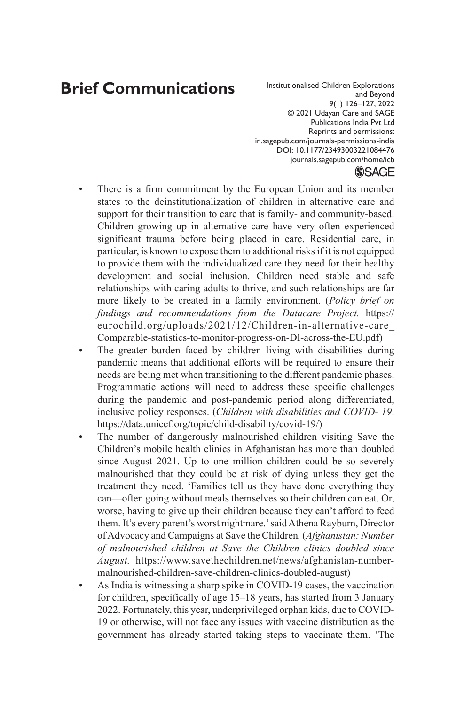# **Brief Communications**

Reprints and permissions: Institutionalised Children Explorations and Beyond 9(1) 126–127, 2022 © 2021 Udayan Care and SAGE Publications India Pvt Ltd in.sagepub.com/journals-permissions-india DOI: 10.1177/23493003221084476 journals.sagepub.com/home/icb

#### **SSAGE**

- There is a firm commitment by the European Union and its member states to the deinstitutionalization of children in alternative care and support for their transition to care that is family- and community-based. Children growing up in alternative care have very often experienced significant trauma before being placed in care. Residential care, in particular, is known to expose them to additional risks if it is not equipped to provide them with the individualized care they need for their healthy development and social inclusion. Children need stable and safe relationships with caring adults to thrive, and such relationships are far more likely to be created in a family environment. (*Policy brief on findings and recommendations from the Datacare Project.* https:// eurochild.org/uploads/2021/12/Children-in-alternative-care\_ Comparable-statistics-to-monitor-progress-on-DI-across-the-EU.pdf)
- The greater burden faced by children living with disabilities during pandemic means that additional efforts will be required to ensure their needs are being met when transitioning to the different pandemic phases. Programmatic actions will need to address these specific challenges during the pandemic and post-pandemic period along differentiated, inclusive policy responses. (*Children with disabilities and COVID- 19*. https://data.unicef.org/topic/child-disability/covid-19/)
- The number of dangerously malnourished children visiting Save the Children's mobile health clinics in Afghanistan has more than doubled since August 2021. Up to one million children could be so severely malnourished that they could be at risk of dying unless they get the treatment they need. 'Families tell us they have done everything they can—often going without meals themselves so their children can eat. Or, worse, having to give up their children because they can't afford to feed them. It's every parent's worst nightmare.' said Athena Rayburn, Director of Advocacy and Campaigns at Save the Children*.* (*Afghanistan: Number of malnourished children at Save the Children clinics doubled since August.* https://www.savethechildren.net/news/afghanistan-numbermalnourished-children-save-children-clinics-doubled-august)
- As India is witnessing a sharp spike in COVID-19 cases, the vaccination for children, specifically of age 15–18 years, has started from 3 January 2022. Fortunately, this year, underprivileged orphan kids, due to COVID-19 or otherwise, will not face any issues with vaccine distribution as the government has already started taking steps to vaccinate them. 'The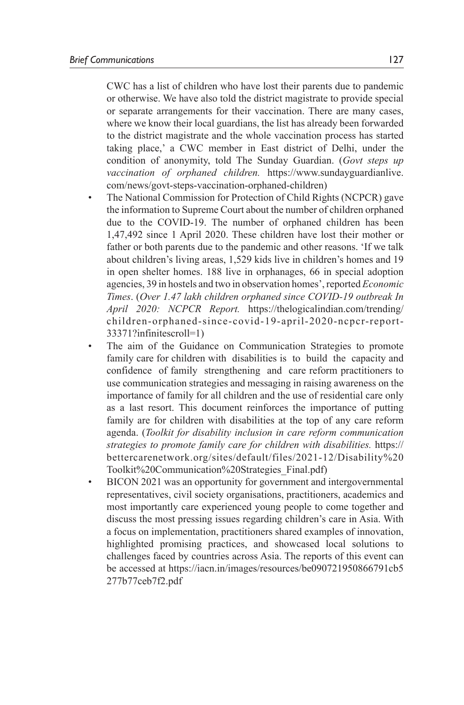CWC has a list of children who have lost their parents due to pandemic or otherwise. We have also told the district magistrate to provide special or separate arrangements for their vaccination. There are many cases, where we know their local guardians, the list has already been forwarded to the district magistrate and the whole vaccination process has started taking place,' a CWC member in East district of Delhi, under the condition of anonymity, told The Sunday Guardian. (*Govt steps up vaccination of orphaned children.* https://www.sundayguardianlive. com/news/govt-steps-vaccination-orphaned-children)

- The National Commission for Protection of Child Rights (NCPCR) gave the information to Supreme Court about the number of children orphaned due to the COVID-19. The number of orphaned children has been 1,47,492 since 1 April 2020. These children have lost their mother or father or both parents due to the pandemic and other reasons. 'If we talk about children's living areas, 1,529 kids live in children's homes and 19 in open shelter homes. 188 live in orphanages, 66 in special adoption agencies, 39 in hostels and two in observation homes', reported *Economic Times*. (*Over 1.47 lakh children orphaned since COVID-19 outbreak In April 2020: NCPCR Report.* https://thelogicalindian.com/trending/ children-orphaned-since-covid-19-april-2020-ncpcr-report-33371?infinitescroll=1)
- The aim of the Guidance on Communication Strategies to promote family care for children with disabilities is to build the capacity and confidence of family strengthening and care reform practitioners to use communication strategies and messaging in raising awareness on the importance of family for all children and the use of residential care only as a last resort. This document reinforces the importance of putting family are for children with disabilities at the top of any care reform agenda. (*Toolkit for disability inclusion in care reform communication strategies to promote family care for children with disabilities.* https:// bettercarenetwork.org/sites/default/files/2021-12/Disability%20 Toolkit%20Communication%20Strategies\_Final.pdf)
- BICON 2021 was an opportunity for government and intergovernmental representatives, civil society organisations, practitioners, academics and most importantly care experienced young people to come together and discuss the most pressing issues regarding children's care in Asia. With a focus on implementation, practitioners shared examples of innovation, highlighted promising practices, and showcased local solutions to challenges faced by countries across Asia. The reports of this event can be accessed at https://iacn.in/images/resources/be090721950866791cb5 277b77ceb7f2.pdf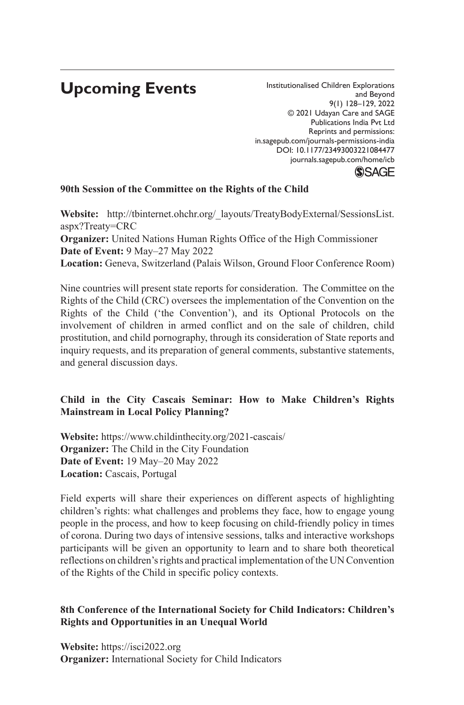# **Upcoming Events**

Institutionalised Children Explorations and Beyond 9(1) 128–129, 2022 © 2021 Udayan Care and SAGE Publications India Pvt Ltd Reprints and permissions: in.sagepub.com/journals-permissions-india DOI: 10.1177/23493003221084477 journals.sagepub.com/home/icb **SSAGE** 

#### **90th Session of the Committee on the Rights of the Child**

**Website:** http://tbinternet.ohchr.org/\_layouts/TreatyBodyExternal/SessionsList. aspx?Treaty=CRC

**Organizer:** United Nations Human Rights Office of the High Commissioner **Date of Event:** 9 May–27 May 2022

**Location:** Geneva, Switzerland (Palais Wilson, Ground Floor Conference Room)

Nine countries will present state reports for consideration. The Committee on the Rights of the Child (CRC) oversees the implementation of the Convention on the Rights of the Child ('the Convention'), and its Optional Protocols on the involvement of children in armed conflict and on the sale of children, child prostitution, and child pornography, through its consideration of State reports and inquiry requests, and its preparation of general comments, substantive statements, and general discussion days.

#### **Child in the City Cascais Seminar: How to Make Children's Rights Mainstream in Local Policy Planning?**

**Website:** https://www.childinthecity.org/2021-cascais/ **Organizer:** The Child in the City Foundation **Date of Event:** 19 May–20 May 2022 **Location:** Cascais, Portugal

Field experts will share their experiences on different aspects of highlighting children's rights: what challenges and problems they face, how to engage young people in the process, and how to keep focusing on child-friendly policy in times of corona. During two days of intensive sessions, talks and interactive workshops participants will be given an opportunity to learn and to share both theoretical reflections on children's rights and practical implementation of the UN Convention of the Rights of the Child in specific policy contexts.

#### **8th Conference of the International Society for Child Indicators: Children's Rights and Opportunities in an Unequal World**

**Website:** https://isci2022.org **Organizer:** International Society for Child Indicators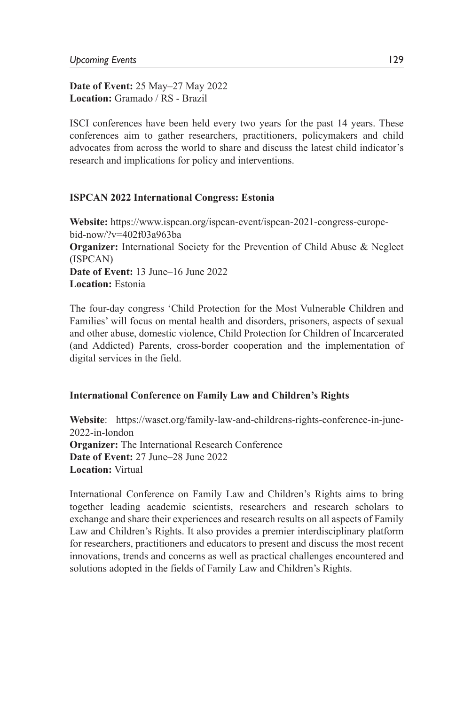**Date of Event:** 25 May–27 May 2022 **Location:** Gramado / RS - Brazil

ISCI conferences have been held every two years for the past 14 years. These conferences aim to gather researchers, practitioners, policymakers and child advocates from across the world to share and discuss the latest child indicator's research and implications for policy and interventions.

#### **ISPCAN 2022 International Congress: Estonia**

**Website:** https://www.ispcan.org/ispcan-event/ispcan-2021-congress-europebid-now/?v=402f03a963ba **Organizer:** International Society for the Prevention of Child Abuse & Neglect (ISPCAN) **Date of Event:** 13 June–16 June 2022 **Location:** Estonia

The four-day congress 'Child Protection for the Most Vulnerable Children and Families' will focus on mental health and disorders, prisoners, aspects of sexual and other abuse, domestic violence, Child Protection for Children of Incarcerated (and Addicted) Parents, cross-border cooperation and the implementation of digital services in the field.

#### **International Conference on Family Law and Children's Rights**

**Website**: https://waset.org/family-law-and-childrens-rights-conference-in-june-2022-in-london **Organizer:** The International Research Conference **Date of Event:** 27 June–28 June 2022 **Location:** Virtual

International Conference on Family Law and Children's Rights aims to bring together leading academic scientists, researchers and research scholars to exchange and share their experiences and research results on all aspects of Family Law and Children's Rights. It also provides a premier interdisciplinary platform for researchers, practitioners and educators to present and discuss the most recent innovations, trends and concerns as well as practical challenges encountered and solutions adopted in the fields of Family Law and Children's Rights.